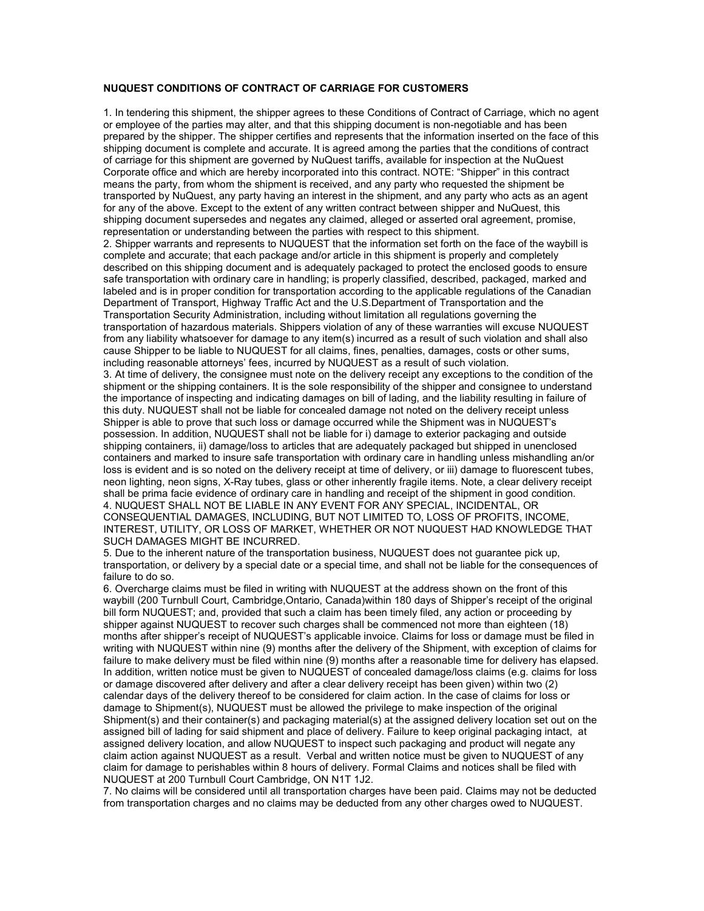## NUQUEST CONDITIONS OF CONTRACT OF CARRIAGE FOR CUSTOMERS

1. In tendering this shipment, the shipper agrees to these Conditions of Contract of Carriage, which no agent or employee of the parties may alter, and that this shipping document is non-negotiable and has been prepared by the shipper. The shipper certifies and represents that the information inserted on the face of this shipping document is complete and accurate. It is agreed among the parties that the conditions of contract of carriage for this shipment are governed by NuQuest tariffs, available for inspection at the NuQuest Corporate office and which are hereby incorporated into this contract. NOTE: "Shipper" in this contract means the party, from whom the shipment is received, and any party who requested the shipment be transported by NuQuest, any party having an interest in the shipment, and any party who acts as an agent for any of the above. Except to the extent of any written contract between shipper and NuQuest, this shipping document supersedes and negates any claimed, alleged or asserted oral agreement, promise, representation or understanding between the parties with respect to this shipment. 2. Shipper warrants and represents to NUQUEST that the information set forth on the face of the waybill is complete and accurate; that each package and/or article in this shipment is properly and completely described on this shipping document and is adequately packaged to protect the enclosed goods to ensure safe transportation with ordinary care in handling; is properly classified, described, packaged, marked and labeled and is in proper condition for transportation according to the applicable regulations of the Canadian Department of Transport, Highway Traffic Act and the U.S.Department of Transportation and the Transportation Security Administration, including without limitation all regulations governing the transportation of hazardous materials. Shippers violation of any of these warranties will excuse NUQUEST from any liability whatsoever for damage to any item(s) incurred as a result of such violation and shall also cause Shipper to be liable to NUQUEST for all claims, fines, penalties, damages, costs or other sums, including reasonable attorneys' fees, incurred by NUQUEST as a result of such violation. 3. At time of delivery, the consignee must note on the delivery receipt any exceptions to the condition of the shipment or the shipping containers. It is the sole responsibility of the shipper and consignee to understand the importance of inspecting and indicating damages on bill of lading, and the liability resulting in failure of this duty. NUQUEST shall not be liable for concealed damage not noted on the delivery receipt unless Shipper is able to prove that such loss or damage occurred while the Shipment was in NUQUEST's possession. In addition, NUQUEST shall not be liable for i) damage to exterior packaging and outside shipping containers, ii) damage/loss to articles that are adequately packaged but shipped in unenclosed containers and marked to insure safe transportation with ordinary care in handling unless mishandling an/or loss is evident and is so noted on the delivery receipt at time of delivery, or iii) damage to fluorescent tubes, neon lighting, neon signs, X-Ray tubes, glass or other inherently fragile items. Note, a clear delivery receipt shall be prima facie evidence of ordinary care in handling and receipt of the shipment in good condition. 4. NUQUEST SHALL NOT BE LIABLE IN ANY EVENT FOR ANY SPECIAL, INCIDENTAL, OR CONSEQUENTIAL DAMAGES, INCLUDING, BUT NOT LIMITED TO, LOSS OF PROFITS, INCOME, INTEREST, UTILITY, OR LOSS OF MARKET, WHETHER OR NOT NUQUEST HAD KNOWLEDGE THAT SUCH DAMAGES MIGHT BE INCURRED.

5. Due to the inherent nature of the transportation business, NUQUEST does not guarantee pick up, transportation, or delivery by a special date or a special time, and shall not be liable for the consequences of failure to do so.

6. Overcharge claims must be filed in writing with NUQUEST at the address shown on the front of this waybill (200 Turnbull Court, Cambridge,Ontario, Canada)within 180 days of Shipper's receipt of the original bill form NUQUEST; and, provided that such a claim has been timely filed, any action or proceeding by shipper against NUQUEST to recover such charges shall be commenced not more than eighteen (18) months after shipper's receipt of NUQUEST's applicable invoice. Claims for loss or damage must be filed in writing with NUQUEST within nine (9) months after the delivery of the Shipment, with exception of claims for failure to make delivery must be filed within nine (9) months after a reasonable time for delivery has elapsed. In addition, written notice must be given to NUQUEST of concealed damage/loss claims (e.g. claims for loss or damage discovered after delivery and after a clear delivery receipt has been given) within two (2) calendar days of the delivery thereof to be considered for claim action. In the case of claims for loss or damage to Shipment(s), NUQUEST must be allowed the privilege to make inspection of the original Shipment(s) and their container(s) and packaging material(s) at the assigned delivery location set out on the assigned bill of lading for said shipment and place of delivery. Failure to keep original packaging intact, at assigned delivery location, and allow NUQUEST to inspect such packaging and product will negate any claim action against NUQUEST as a result. Verbal and written notice must be given to NUQUEST of any claim for damage to perishables within 8 hours of delivery. Formal Claims and notices shall be filed with NUQUEST at 200 Turnbull Court Cambridge, ON N1T 1J2.

7. No claims will be considered until all transportation charges have been paid. Claims may not be deducted from transportation charges and no claims may be deducted from any other charges owed to NUQUEST.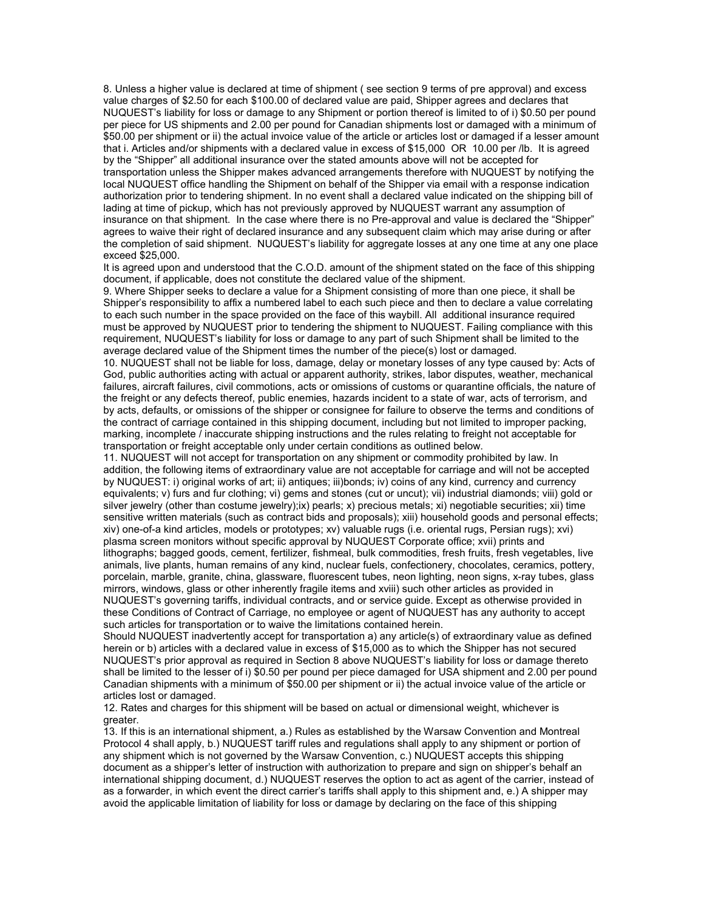8. Unless a higher value is declared at time of shipment ( see section 9 terms of pre approval) and excess value charges of \$2.50 for each \$100.00 of declared value are paid, Shipper agrees and declares that NUQUEST's liability for loss or damage to any Shipment or portion thereof is limited to of i) \$0.50 per pound per piece for US shipments and 2.00 per pound for Canadian shipments lost or damaged with a minimum of \$50.00 per shipment or ii) the actual invoice value of the article or articles lost or damaged if a lesser amount that i. Articles and/or shipments with a declared value in excess of \$15,000 OR 10.00 per /lb. It is agreed by the "Shipper" all additional insurance over the stated amounts above will not be accepted for

transportation unless the Shipper makes advanced arrangements therefore with NUQUEST by notifying the local NUQUEST office handling the Shipment on behalf of the Shipper via email with a response indication authorization prior to tendering shipment. In no event shall a declared value indicated on the shipping bill of lading at time of pickup, which has not previously approved by NUQUEST warrant any assumption of insurance on that shipment. In the case where there is no Pre-approval and value is declared the "Shipper" agrees to waive their right of declared insurance and any subsequent claim which may arise during or after the completion of said shipment. NUQUEST's liability for aggregate losses at any one time at any one place exceed \$25,000.

It is agreed upon and understood that the C.O.D. amount of the shipment stated on the face of this shipping document, if applicable, does not constitute the declared value of the shipment.

9. Where Shipper seeks to declare a value for a Shipment consisting of more than one piece, it shall be Shipper's responsibility to affix a numbered label to each such piece and then to declare a value correlating to each such number in the space provided on the face of this waybill. All additional insurance required must be approved by NUQUEST prior to tendering the shipment to NUQUEST. Failing compliance with this requirement, NUQUEST's liability for loss or damage to any part of such Shipment shall be limited to the average declared value of the Shipment times the number of the piece(s) lost or damaged.

10. NUQUEST shall not be liable for loss, damage, delay or monetary losses of any type caused by: Acts of God, public authorities acting with actual or apparent authority, strikes, labor disputes, weather, mechanical failures, aircraft failures, civil commotions, acts or omissions of customs or quarantine officials, the nature of the freight or any defects thereof, public enemies, hazards incident to a state of war, acts of terrorism, and by acts, defaults, or omissions of the shipper or consignee for failure to observe the terms and conditions of the contract of carriage contained in this shipping document, including but not limited to improper packing, marking, incomplete / inaccurate shipping instructions and the rules relating to freight not acceptable for transportation or freight acceptable only under certain conditions as outlined below.

11. NUQUEST will not accept for transportation on any shipment or commodity prohibited by law. In addition, the following items of extraordinary value are not acceptable for carriage and will not be accepted by NUQUEST: i) original works of art; ii) antiques; iii)bonds; iv) coins of any kind, currency and currency equivalents; v) furs and fur clothing; vi) gems and stones (cut or uncut); vii) industrial diamonds; viii) gold or silver jewelry (other than costume jewelry);ix) pearls; x) precious metals; xi) negotiable securities; xii) time sensitive written materials (such as contract bids and proposals); xiii) household goods and personal effects; xiv) one-of-a kind articles, models or prototypes; xv) valuable rugs (i.e. oriental rugs, Persian rugs); xvi) plasma screen monitors without specific approval by NUQUEST Corporate office; xvii) prints and lithographs; bagged goods, cement, fertilizer, fishmeal, bulk commodities, fresh fruits, fresh vegetables, live animals, live plants, human remains of any kind, nuclear fuels, confectionery, chocolates, ceramics, pottery, porcelain, marble, granite, china, glassware, fluorescent tubes, neon lighting, neon signs, x-ray tubes, glass mirrors, windows, glass or other inherently fragile items and xviii) such other articles as provided in NUQUEST's governing tariffs, individual contracts, and or service guide. Except as otherwise provided in these Conditions of Contract of Carriage, no employee or agent of NUQUEST has any authority to accept such articles for transportation or to waive the limitations contained herein.

Should NUQUEST inadvertently accept for transportation a) any article(s) of extraordinary value as defined herein or b) articles with a declared value in excess of \$15,000 as to which the Shipper has not secured NUQUEST's prior approval as required in Section 8 above NUQUEST's liability for loss or damage thereto shall be limited to the lesser of i) \$0.50 per pound per piece damaged for USA shipment and 2.00 per pound Canadian shipments with a minimum of \$50.00 per shipment or ii) the actual invoice value of the article or articles lost or damaged.

12. Rates and charges for this shipment will be based on actual or dimensional weight, whichever is greater.

13. If this is an international shipment, a.) Rules as established by the Warsaw Convention and Montreal Protocol 4 shall apply, b.) NUQUEST tariff rules and regulations shall apply to any shipment or portion of any shipment which is not governed by the Warsaw Convention, c.) NUQUEST accepts this shipping document as a shipper's letter of instruction with authorization to prepare and sign on shipper's behalf an international shipping document, d.) NUQUEST reserves the option to act as agent of the carrier, instead of as a forwarder, in which event the direct carrier's tariffs shall apply to this shipment and, e.) A shipper may avoid the applicable limitation of liability for loss or damage by declaring on the face of this shipping